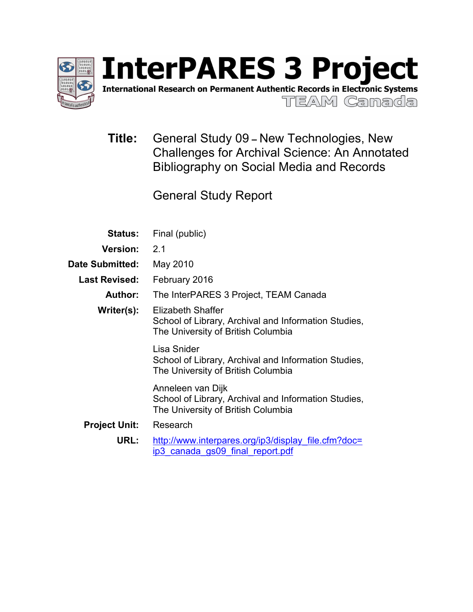

International Research on Permanent Authentic Records in Electronic Systems

TEAM Canada

**Title:** General Study 09 **–** New Technologies, New Challenges for Archival Science: An Annotated Bibliography on Social Media and Records

General Study Report

| <b>Status:</b>                   | Final (public)                                                                                                         |  |  |
|----------------------------------|------------------------------------------------------------------------------------------------------------------------|--|--|
| <b>Version:</b>                  | 2.1                                                                                                                    |  |  |
| <b>Date Submitted:</b>           | May 2010                                                                                                               |  |  |
| <b>Last Revised:</b>             | February 2016                                                                                                          |  |  |
| Author:                          | The InterPARES 3 Project, TEAM Canada                                                                                  |  |  |
| Writer(s):                       | <b>Elizabeth Shaffer</b><br>School of Library, Archival and Information Studies,<br>The University of British Columbia |  |  |
|                                  | Lisa Snider<br>School of Library, Archival and Information Studies,<br>The University of British Columbia              |  |  |
|                                  | Anneleen van Dijk<br>School of Library, Archival and Information Studies,<br>The University of British Columbia        |  |  |
| Research<br><b>Project Unit:</b> |                                                                                                                        |  |  |
| URL:                             | http://www.interpares.org/ip3/display file.cfm?doc=<br>ip3 canada gs09 final report.pdf                                |  |  |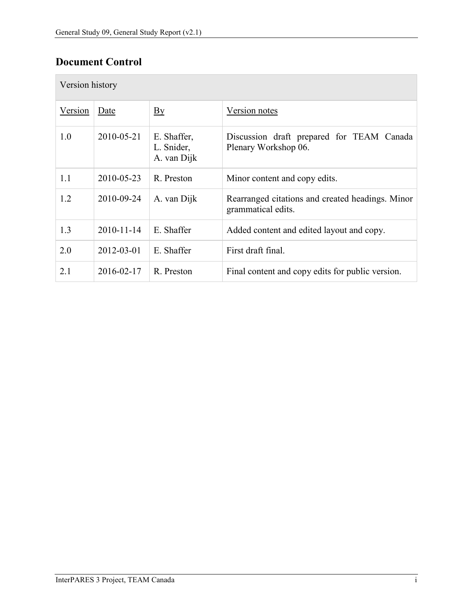# **Document Control**

| Version history |                  |                                          |                                                                        |  |  |
|-----------------|------------------|------------------------------------------|------------------------------------------------------------------------|--|--|
| Version         | Date             | $\mathbf{B}\mathbf{y}$                   | Version notes                                                          |  |  |
| 1.0             | 2010-05-21       | E. Shaffer,<br>L. Snider,<br>A. van Dijk | Discussion draft prepared for TEAM Canada<br>Plenary Workshop 06.      |  |  |
| 1.1             | 2010-05-23       | R. Preston                               | Minor content and copy edits.                                          |  |  |
| 1.2             | 2010-09-24       | A. van Dijk                              | Rearranged citations and created headings. Minor<br>grammatical edits. |  |  |
| 1.3             | $2010 - 11 - 14$ | E. Shaffer                               | Added content and edited layout and copy.                              |  |  |
| 2.0             | 2012-03-01       | E. Shaffer                               | First draft final.                                                     |  |  |
| 2.1             | 2016-02-17       | R. Preston                               | Final content and copy edits for public version.                       |  |  |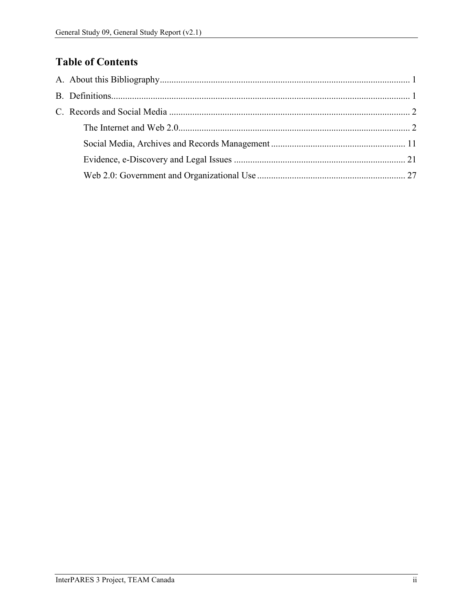# **Table of Contents**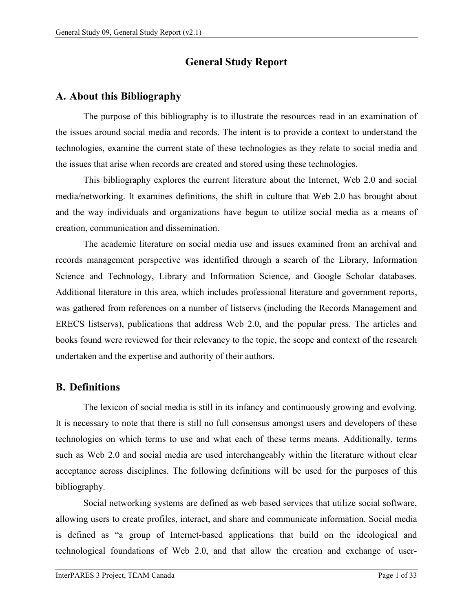# **General Study Report**

# <span id="page-3-0"></span>**A. About this Bibliography**

The purpose of this bibliography is to illustrate the resources read in an examination of the issues around social media and records. The intent is to provide a context to understand the technologies, examine the current state of these technologies as they relate to social media and the issues that arise when records are created and stored using these technologies.

This bibliography explores the current literature about the Internet, Web 2.0 and social media/networking. It examines definitions, the shift in culture that Web 2.0 has brought about and the way individuals and organizations have begun to utilize social media as a means of creation, communication and dissemination.

The academic literature on social media use and issues examined from an archival and records management perspective was identified through a search of the Library, Information Science and Technology, Library and Information Science, and Google Scholar databases. Additional literature in this area, which includes professional literature and government reports, was gathered from references on a number of listservs (including the Records Management and ERECS listservs), publications that address Web 2.0, and the popular press. The articles and books found were reviewed for their relevancy to the topic, the scope and context of the research undertaken and the expertise and authority of their authors.

# <span id="page-3-1"></span>**B. Definitions**

The lexicon of social media is still in its infancy and continuously growing and evolving. It is necessary to note that there is still no full consensus amongst users and developers of these technologies on which terms to use and what each of these terms means. Additionally, terms such as Web 2.0 and social media are used interchangeably within the literature without clear acceptance across disciplines. The following definitions will be used for the purposes of this bibliography.

<span id="page-3-2"></span>Social networking systems are defined as web based services that utilize social software, allowing users to create profiles, interact, and share and communicate information. Social media is defined as "a group of Internet-based applications that build on the ideological and technological foundations of Web 2.0, and that allow the creation and exchange of user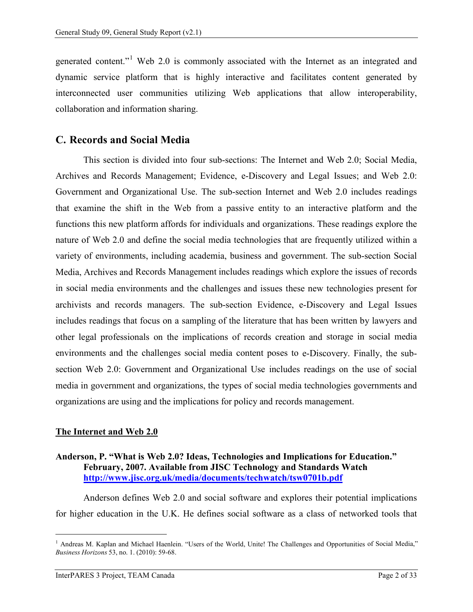generated content."<sup>[1](#page-3-2)</sup> Web 2.0 is commonly associated with the Internet as an integrated and dynamic service platform that is highly interactive and facilitates content generated by interconnected user communities utilizing Web applications that allow interoperability, collaboration and information sharing.

# <span id="page-4-0"></span>**C. Records and Social Media**

This section is divided into four sub-sections: The Internet and Web 2.0; Social Media, Archives and Records Management; Evidence, e-Discovery and Legal Issues; and Web 2.0: Government and Organizational Use. The sub-section Internet and Web 2.0 includes readings that examine the shift in the Web from a passive entity to an interactive platform and the functions this new platform affords for individuals and organizations. These readings explore the nature of Web 2.0 and define the social media technologies that are frequently utilized within a variety of environments, including academia, business and government. The sub-section Social Media, Archives and Records Management includes readings which explore the issues of records in social media environments and the challenges and issues these new technologies present for archivists and records managers. The sub-section Evidence, e-Discovery and Legal Issues includes readings that focus on a sampling of the literature that has been written by lawyers and other legal professionals on the implications of records creation and storage in social media environments and the challenges social media content poses to e-Discovery. Finally, the subsection Web 2.0: Government and Organizational Use includes readings on the use of social media in government and organizations, the types of social media technologies governments and organizations are using and the implications for policy and records management.

#### <span id="page-4-1"></span>**The Internet and Web 2.0**

#### **Anderson, P. "What is Web 2.0? Ideas, Technologies and Implications for Education." February, 2007. Available from JISC Technology and Standards Watch <http://www.jisc.org.uk/media/documents/techwatch/tsw0701b.pdf>**

Anderson defines Web 2.0 and social software and explores their potential implications for higher education in the U.K. He defines social software as a class of networked tools that

<sup>&</sup>lt;sup>1</sup> Andreas M. Kaplan and Michael Haenlein. "Users of the World, Unite! The Challenges and Opportunities of Social Media," *Business Horizons* 53, no. 1. (2010): 59-68.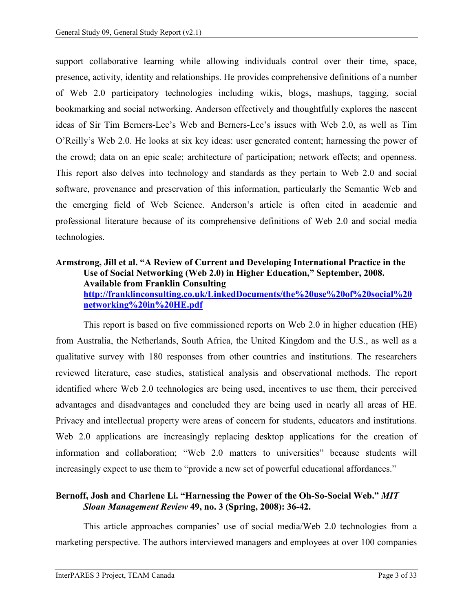support collaborative learning while allowing individuals control over their time, space, presence, activity, identity and relationships. He provides comprehensive definitions of a number of Web 2.0 participatory technologies including wikis, blogs, mashups, tagging, social bookmarking and social networking. Anderson effectively and thoughtfully explores the nascent ideas of Sir Tim Berners-Lee's Web and Berners-Lee's issues with Web 2.0, as well as Tim O'Reilly's Web 2.0. He looks at six key ideas: user generated content; harnessing the power of the crowd; data on an epic scale; architecture of participation; network effects; and openness. This report also delves into technology and standards as they pertain to Web 2.0 and social software, provenance and preservation of this information, particularly the Semantic Web and the emerging field of Web Science. Anderson's article is often cited in academic and professional literature because of its comprehensive definitions of Web 2.0 and social media technologies.

#### **Armstrong, Jill et al. "A Review of Current and Developing International Practice in the Use of Social Networking (Web 2.0) in Higher Education," September, 2008. Available from Franklin Consulting [http://franklinconsulting.co.uk/LinkedDocuments/the%20use%20of%20social%20](http://franklinconsulting.co.uk/LinkedDocuments/the%20use%20of%20social%20networking%20in%20HE.pdf) [networking%20in%20HE.pdf](http://franklinconsulting.co.uk/LinkedDocuments/the%20use%20of%20social%20networking%20in%20HE.pdf)**

This report is based on five commissioned reports on Web 2.0 in higher education (HE) from Australia, the Netherlands, South Africa, the United Kingdom and the U.S., as well as a qualitative survey with 180 responses from other countries and institutions. The researchers reviewed literature, case studies, statistical analysis and observational methods. The report identified where Web 2.0 technologies are being used, incentives to use them, their perceived advantages and disadvantages and concluded they are being used in nearly all areas of HE. Privacy and intellectual property were areas of concern for students, educators and institutions. Web 2.0 applications are increasingly replacing desktop applications for the creation of information and collaboration; "Web 2.0 matters to universities" because students will increasingly expect to use them to "provide a new set of powerful educational affordances."

#### **Bernoff, Josh and Charlene Li. "Harnessing the Power of the Oh-So-Social Web."** *MIT Sloan Management Review* **49, no. 3 (Spring, 2008): 36-42.**

This article approaches companies' use of social media/Web 2.0 technologies from a marketing perspective. The authors interviewed managers and employees at over 100 companies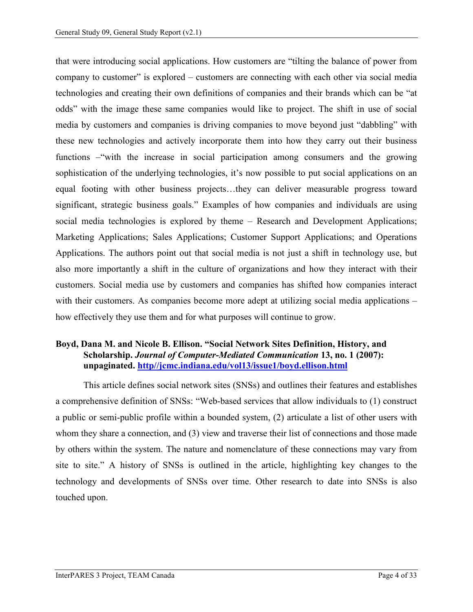that were introducing social applications. How customers are "tilting the balance of power from company to customer" is explored – customers are connecting with each other via social media technologies and creating their own definitions of companies and their brands which can be "at odds" with the image these same companies would like to project. The shift in use of social media by customers and companies is driving companies to move beyond just "dabbling" with these new technologies and actively incorporate them into how they carry out their business functions –"with the increase in social participation among consumers and the growing sophistication of the underlying technologies, it's now possible to put social applications on an equal footing with other business projects…they can deliver measurable progress toward significant, strategic business goals." Examples of how companies and individuals are using social media technologies is explored by theme – Research and Development Applications; Marketing Applications; Sales Applications; Customer Support Applications; and Operations Applications. The authors point out that social media is not just a shift in technology use, but also more importantly a shift in the culture of organizations and how they interact with their customers. Social media use by customers and companies has shifted how companies interact with their customers. As companies become more adept at utilizing social media applications – how effectively they use them and for what purposes will continue to grow.

#### **Boyd, Dana M. and Nicole B. Ellison. "Social Network Sites Definition, History, and Scholarship.** *Journal of Computer-Mediated Communication* **13, no. 1 (2007): unpaginated. http//jcmc.indiana.edu/vol13/issue1/boyd.ellison.html**

This article defines social network sites (SNSs) and outlines their features and establishes a comprehensive definition of SNSs: "Web-based services that allow individuals to (1) construct a public or semi-public profile within a bounded system, (2) articulate a list of other users with whom they share a connection, and (3) view and traverse their list of connections and those made by others within the system. The nature and nomenclature of these connections may vary from site to site." A history of SNSs is outlined in the article, highlighting key changes to the technology and developments of SNSs over time. Other research to date into SNSs is also touched upon.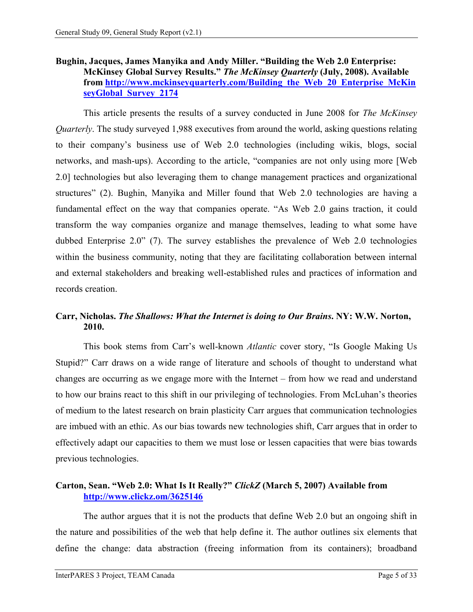# **Bughin, Jacques, James Manyika and Andy Miller. "Building the Web 2.0 Enterprise: McKinsey Global Survey Results."** *The McKinsey Quarterly* **(July, 2008). Available from [http://www.mckinseyquarterly.com/Building\\_the\\_Web\\_20\\_Enterprise\\_McKin](http://www.mckinseyquarterly.com/Building_the_Web_20_Enterprise_McKin%20seyGlobal_Survey_2174)  [seyGlobal\\_Survey\\_2174](http://www.mckinseyquarterly.com/Building_the_Web_20_Enterprise_McKin%20seyGlobal_Survey_2174)**

This article presents the results of a survey conducted in June 2008 for *The McKinsey Quarterly*. The study surveyed 1,988 executives from around the world, asking questions relating to their company's business use of Web 2.0 technologies (including wikis, blogs, social networks, and mash-ups). According to the article, "companies are not only using more [Web 2.0] technologies but also leveraging them to change management practices and organizational structures" (2). Bughin, Manyika and Miller found that Web 2.0 technologies are having a fundamental effect on the way that companies operate. "As Web 2.0 gains traction, it could transform the way companies organize and manage themselves, leading to what some have dubbed Enterprise 2.0" (7). The survey establishes the prevalence of Web 2.0 technologies within the business community, noting that they are facilitating collaboration between internal and external stakeholders and breaking well-established rules and practices of information and records creation.

# **Carr, Nicholas.** *The Shallows: What the Internet is doing to Our Brains***. NY: W.W. Norton, 2010.**

This book stems from Carr's well-known *Atlantic* cover story, "Is Google Making Us Stupid?" Carr draws on a wide range of literature and schools of thought to understand what changes are occurring as we engage more with the Internet – from how we read and understand to how our brains react to this shift in our privileging of technologies. From McLuhan's theories of medium to the latest research on brain plasticity Carr argues that communication technologies are imbued with an ethic. As our bias towards new technologies shift, Carr argues that in order to effectively adapt our capacities to them we must lose or lessen capacities that were bias towards previous technologies.

# **Carton, Sean. "Web 2.0: What Is It Really?"** *ClickZ* **(March 5, 2007) Available from <http://www.clickz.om/3625146>**

The author argues that it is not the products that define Web 2.0 but an ongoing shift in the nature and possibilities of the web that help define it. The author outlines six elements that define the change: data abstraction (freeing information from its containers); broadband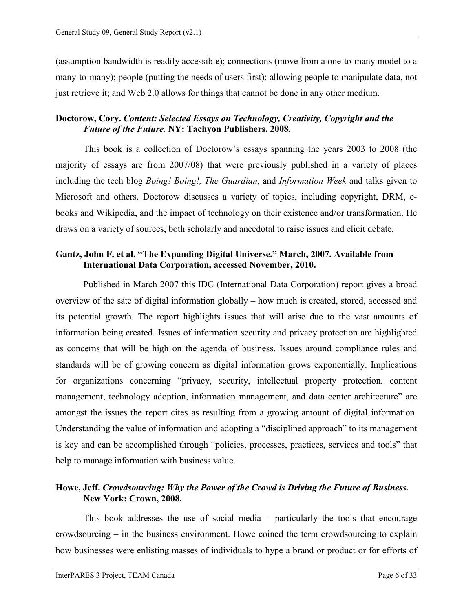(assumption bandwidth is readily accessible); connections (move from a one-to-many model to a many-to-many); people (putting the needs of users first); allowing people to manipulate data, not just retrieve it; and Web 2.0 allows for things that cannot be done in any other medium.

# **Doctorow, Cory.** *Content: Selected Essays on Technology, Creativity, Copyright and the Future of the Future.* **NY: Tachyon Publishers, 2008.**

This book is a collection of Doctorow's essays spanning the years 2003 to 2008 (the majority of essays are from 2007/08) that were previously published in a variety of places including the tech blog *Boing! Boing!, The Guardian*, and *Information Week* and talks given to Microsoft and others. Doctorow discusses a variety of topics, including copyright, DRM, ebooks and Wikipedia, and the impact of technology on their existence and/or transformation. He draws on a variety of sources, both scholarly and anecdotal to raise issues and elicit debate.

#### **Gantz, John F. et al. "The Expanding Digital Universe." March, 2007. Available from International Data Corporation, accessed November, 2010.**

Published in March 2007 this IDC (International Data Corporation) report gives a broad overview of the sate of digital information globally – how much is created, stored, accessed and its potential growth. The report highlights issues that will arise due to the vast amounts of information being created. Issues of information security and privacy protection are highlighted as concerns that will be high on the agenda of business. Issues around compliance rules and standards will be of growing concern as digital information grows exponentially. Implications for organizations concerning "privacy, security, intellectual property protection, content management, technology adoption, information management, and data center architecture" are amongst the issues the report cites as resulting from a growing amount of digital information. Understanding the value of information and adopting a "disciplined approach" to its management is key and can be accomplished through "policies, processes, practices, services and tools" that help to manage information with business value.

# **Howe, Jeff.** *Crowdsourcing: Why the Power of the Crowd is Driving the Future of Business.*  **New York: Crown, 2008.**

This book addresses the use of social media – particularly the tools that encourage crowdsourcing – in the business environment. Howe coined the term crowdsourcing to explain how businesses were enlisting masses of individuals to hype a brand or product or for efforts of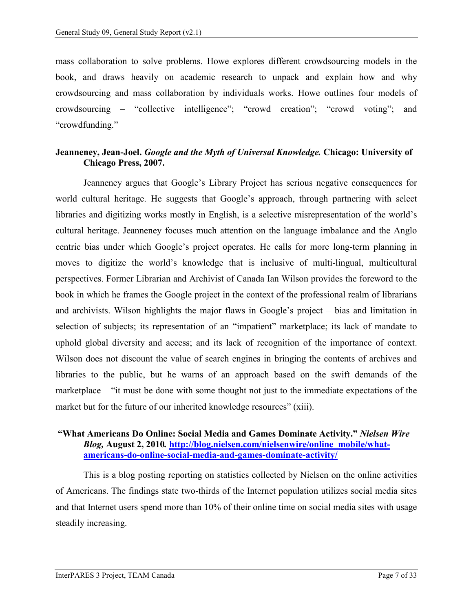mass collaboration to solve problems. Howe explores different crowdsourcing models in the book, and draws heavily on academic research to unpack and explain how and why crowdsourcing and mass collaboration by individuals works. Howe outlines four models of crowdsourcing – "collective intelligence"; "crowd creation"; "crowd voting"; and "crowdfunding."

#### **Jeanneney, Jean-Joel.** *Google and the Myth of Universal Knowledge.* **Chicago: University of Chicago Press, 2007.**

Jeanneney argues that Google's Library Project has serious negative consequences for world cultural heritage. He suggests that Google's approach, through partnering with select libraries and digitizing works mostly in English, is a selective misrepresentation of the world's cultural heritage. Jeanneney focuses much attention on the language imbalance and the Anglo centric bias under which Google's project operates. He calls for more long-term planning in moves to digitize the world's knowledge that is inclusive of multi-lingual, multicultural perspectives. Former Librarian and Archivist of Canada Ian Wilson provides the foreword to the book in which he frames the Google project in the context of the professional realm of librarians and archivists. Wilson highlights the major flaws in Google's project – bias and limitation in selection of subjects; its representation of an "impatient" marketplace; its lack of mandate to uphold global diversity and access; and its lack of recognition of the importance of context. Wilson does not discount the value of search engines in bringing the contents of archives and libraries to the public, but he warns of an approach based on the swift demands of the marketplace – "it must be done with some thought not just to the immediate expectations of the market but for the future of our inherited knowledge resources" (xiii).

#### **"What Americans Do Online: Social Media and Games Dominate Activity."** *Nielsen Wire Blog,* **August 2, 2010***.* **[http://blog.nielsen.com/nielsenwire/online\\_mobile/what](http://blog.nielsen.com/nielsenwire/online_mobile/what-americans-do-online-social-media-and-games-dominate-activity/)[americans-do-online-social-media-and-games-dominate-activity/](http://blog.nielsen.com/nielsenwire/online_mobile/what-americans-do-online-social-media-and-games-dominate-activity/)**

This is a blog posting reporting on statistics collected by Nielsen on the online activities of Americans. The findings state two-thirds of the Internet population utilizes social media sites and that Internet users spend more than 10% of their online time on social media sites with usage steadily increasing.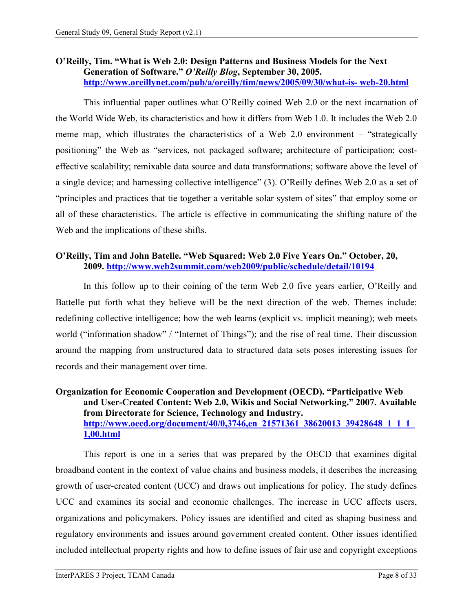#### **O'Reilly, Tim. "What is Web 2.0: Design Patterns and Business Models for the Next Generation of Software."** *O'Reilly Blog***, September 30, 2005. [http://www.oreillynet.com/pub/a/oreilly/tim/news/2005/09/30/what-is-](http://www.oreillynet.com/pub/a/oreilly/tim/news/2005/09/30/what-is-%20web-20.html) web-20.html**

This influential paper outlines what O'Reilly coined Web 2.0 or the next incarnation of the World Wide Web, its characteristics and how it differs from Web 1.0. It includes the Web 2.0 meme map, which illustrates the characteristics of a Web 2.0 environment – "strategically positioning" the Web as "services, not packaged software; architecture of participation; costeffective scalability; remixable data source and data transformations; software above the level of a single device; and harnessing collective intelligence" (3). O'Reilly defines Web 2.0 as a set of "principles and practices that tie together a veritable solar system of sites" that employ some or all of these characteristics. The article is effective in communicating the shifting nature of the Web and the implications of these shifts.

# **O'Reilly, Tim and John Batelle. "Web Squared: Web 2.0 Five Years On." October, 20, 2009.<http://www.web2summit.com/web2009/public/schedule/detail/10194>**

In this follow up to their coining of the term Web 2.0 five years earlier, O'Reilly and Battelle put forth what they believe will be the next direction of the web. Themes include: redefining collective intelligence; how the web learns (explicit vs. implicit meaning); web meets world ("information shadow" / "Internet of Things"); and the rise of real time. Their discussion around the mapping from unstructured data to structured data sets poses interesting issues for records and their management over time.

#### **Organization for Economic Cooperation and Development (OECD). "Participative Web and User-Created Content: Web 2.0, Wikis and Social Networking." 2007. Available from Directorate for Science, Technology and Industry. [http://www.oecd.org/document/40/0,3746,en\\_21571361\\_38620013\\_39428648\\_1\\_1\\_1\\_](http://www.oecd.org/document/40/0,3746,en_21571361_38620013_39428648_1_1_1_1,00.html) [1,00.html](http://www.oecd.org/document/40/0,3746,en_21571361_38620013_39428648_1_1_1_1,00.html)**

This report is one in a series that was prepared by the OECD that examines digital broadband content in the context of value chains and business models, it describes the increasing growth of user-created content (UCC) and draws out implications for policy. The study defines UCC and examines its social and economic challenges. The increase in UCC affects users, organizations and policymakers. Policy issues are identified and cited as shaping business and regulatory environments and issues around government created content. Other issues identified included intellectual property rights and how to define issues of fair use and copyright exceptions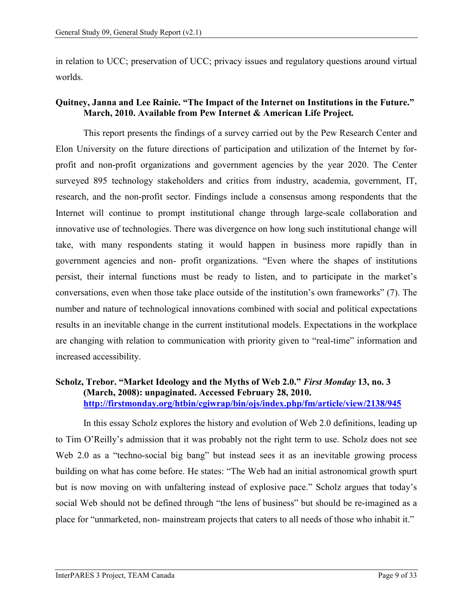in relation to UCC; preservation of UCC; privacy issues and regulatory questions around virtual worlds.

# **Quitney, Janna and Lee Rainie. "The Impact of the Internet on Institutions in the Future." March, 2010. Available from Pew Internet & American Life Project***.*

This report presents the findings of a survey carried out by the Pew Research Center and Elon University on the future directions of participation and utilization of the Internet by forprofit and non-profit organizations and government agencies by the year 2020. The Center surveyed 895 technology stakeholders and critics from industry, academia, government, IT, research, and the non-profit sector. Findings include a consensus among respondents that the Internet will continue to prompt institutional change through large-scale collaboration and innovative use of technologies. There was divergence on how long such institutional change will take, with many respondents stating it would happen in business more rapidly than in government agencies and non- profit organizations. "Even where the shapes of institutions persist, their internal functions must be ready to listen, and to participate in the market's conversations, even when those take place outside of the institution's own frameworks" (7). The number and nature of technological innovations combined with social and political expectations results in an inevitable change in the current institutional models. Expectations in the workplace are changing with relation to communication with priority given to "real-time" information and increased accessibility.

#### **Scholz, Trebor. "Market Ideology and the Myths of Web 2.0."** *First Monday* **13, no. 3 (March, 2008): unpaginated. Accessed February 28, 2010. http://firstmonday.org/htbin/cgiwrap/bin/ojs/index.php/fm/article/view/21[38/945](http://firstmonday.org/htbin/cgiwrap/bin/ojs/index.php/fm/article/view/2138/945)**

In this essay Scholz explores the history and evolution of Web 2.0 definitions, leading up to Tim O'Reilly's admission that it was probably not the right term to use. Scholz does not see Web 2.0 as a "techno-social big bang" but instead sees it as an inevitable growing process building on what has come before. He states: "The Web had an initial astronomical growth spurt but is now moving on with unfaltering instead of explosive pace." Scholz argues that today's social Web should not be defined through "the lens of business" but should be re-imagined as a place for "unmarketed, non- mainstream projects that caters to all needs of those who inhabit it."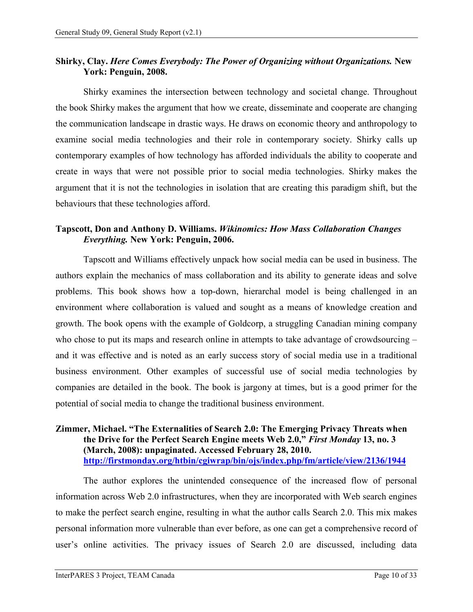# **Shirky, Clay.** *Here Comes Everybody: The Power of Organizing without Organizations.* **New York: Penguin, 2008.**

Shirky examines the intersection between technology and societal change. Throughout the book Shirky makes the argument that how we create, disseminate and cooperate are changing the communication landscape in drastic ways. He draws on economic theory and anthropology to examine social media technologies and their role in contemporary society. Shirky calls up contemporary examples of how technology has afforded individuals the ability to cooperate and create in ways that were not possible prior to social media technologies. Shirky makes the argument that it is not the technologies in isolation that are creating this paradigm shift, but the behaviours that these technologies afford.

# **Tapscott, Don and Anthony D. Williams.** *Wikinomics: How Mass Collaboration Changes Everything.* **New York: Penguin, 2006.**

Tapscott and Williams effectively unpack how social media can be used in business. The authors explain the mechanics of mass collaboration and its ability to generate ideas and solve problems. This book shows how a top-down, hierarchal model is being challenged in an environment where collaboration is valued and sought as a means of knowledge creation and growth. The book opens with the example of Goldcorp, a struggling Canadian mining company who chose to put its maps and research online in attempts to take advantage of crowdsourcing – and it was effective and is noted as an early success story of social media use in a traditional business environment. Other examples of successful use of social media technologies by companies are detailed in the book. The book is jargony at times, but is a good primer for the potential of social media to change the traditional business environment.

#### **Zimmer, Michael. "The Externalities of Search 2.0: The Emerging Privacy Threats when the Drive for the Perfect Search Engine meets Web 2.0,"** *First Monday* **13, no. 3 (March, 2008): unpaginated. Accessed February 28, 2010. <http://firstmonday.org/htbin/cgiwrap/bin/ojs/index.php/fm/article/view/2136/1944>**

The author explores the unintended consequence of the increased flow of personal information across Web 2.0 infrastructures, when they are incorporated with Web search engines to make the perfect search engine, resulting in what the author calls Search 2.0. This mix makes personal information more vulnerable than ever before, as one can get a comprehensive record of user's online activities. The privacy issues of Search 2.0 are discussed, including data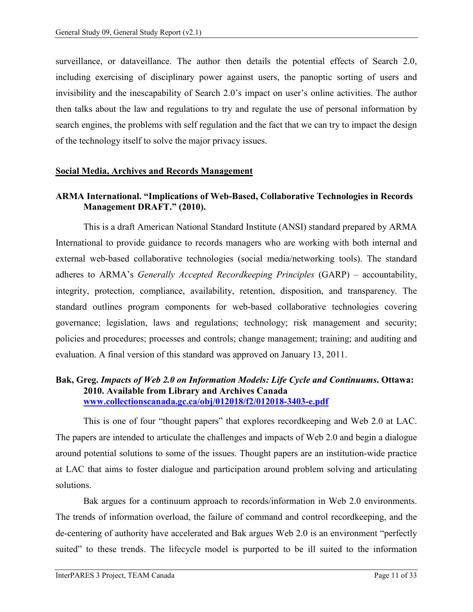surveillance, or dataveillance. The author then details the potential effects of Search 2.0, including exercising of disciplinary power against users, the panoptic sorting of users and invisibility and the inescapability of Search 2.0's impact on user's online activities. The author then talks about the law and regulations to try and regulate the use of personal information by search engines, the problems with self regulation and the fact that we can try to impact the design of the technology itself to solve the major privacy issues.

#### <span id="page-13-0"></span>**Social Media, Archives and Records Management**

# **ARMA International. "Implications of Web-Based, Collaborative Technologies in Records Management DRAFT." (2010).**

This is a draft American National Standard Institute (ANSI) standard prepared by ARMA International to provide guidance to records managers who are working with both internal and external web-based collaborative technologies (social media/networking tools). The standard adheres to ARMA's *Generally Accepted Recordkeeping Principles* (GARP) – accountability, integrity, protection, compliance, availability, retention, disposition, and transparency. The standard outlines program components for web-based collaborative technologies covering governance; legislation, laws and regulations; technology; risk management and security; policies and procedures; processes and controls; change management; training; and auditing and evaluation. A final version of this standard was approved on January 13, 2011.

# **Bak, Greg.** *Impacts of Web 2.0 on Information Models: Life Cycle and Continuums***. Ottawa: 2010. Available from Library and Archives Canada [www.collectionscanada.gc.ca/obj/012018/f2/012018-3403-e.pdf](http://www.collectionscanada.gc.ca/obj/012018/f2/012018-3403-e.pdf)**

This is one of four "thought papers" that explores recordkeeping and Web 2.0 at LAC. The papers are intended to articulate the challenges and impacts of Web 2.0 and begin a dialogue around potential solutions to some of the issues. Thought papers are an institution-wide practice at LAC that aims to foster dialogue and participation around problem solving and articulating solutions.

Bak argues for a continuum approach to records/information in Web 2.0 environments. The trends of information overload, the failure of command and control recordkeeping, and the de-centering of authority have accelerated and Bak argues Web 2.0 is an environment "perfectly suited" to these trends. The lifecycle model is purported to be ill suited to the information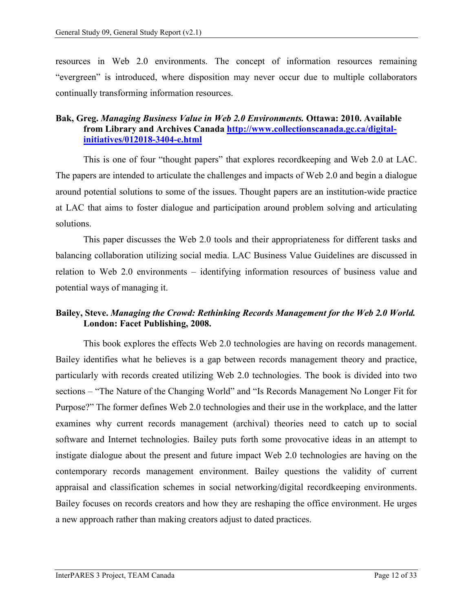resources in Web 2.0 environments. The concept of information resources remaining "evergreen" is introduced, where disposition may never occur due to multiple collaborators continually transforming information resources.

# **Bak, Greg.** *Managing Business Value in Web 2.0 Environments.* **Ottawa: 2010. Available from Library and Archives Canada [http://www.collectionscanada.gc.ca/digital](http://www.collectionscanada.gc.ca/digital-initiatives/012018-3404-e.html)[initiatives/012018-3404-e.html](http://www.collectionscanada.gc.ca/digital-initiatives/012018-3404-e.html)**

This is one of four "thought papers" that explores recordkeeping and Web 2.0 at LAC. The papers are intended to articulate the challenges and impacts of Web 2.0 and begin a dialogue around potential solutions to some of the issues. Thought papers are an institution-wide practice at LAC that aims to foster dialogue and participation around problem solving and articulating solutions.

This paper discusses the Web 2.0 tools and their appropriateness for different tasks and balancing collaboration utilizing social media. LAC Business Value Guidelines are discussed in relation to Web 2.0 environments – identifying information resources of business value and potential ways of managing it.

# **Bailey, Steve.** *Managing the Crowd: Rethinking Records Management for the Web 2.0 World.*  **London: Facet Publishing, 2008.**

This book explores the effects Web 2.0 technologies are having on records management. Bailey identifies what he believes is a gap between records management theory and practice, particularly with records created utilizing Web 2.0 technologies. The book is divided into two sections – "The Nature of the Changing World" and "Is Records Management No Longer Fit for Purpose?" The former defines Web 2.0 technologies and their use in the workplace, and the latter examines why current records management (archival) theories need to catch up to social software and Internet technologies. Bailey puts forth some provocative ideas in an attempt to instigate dialogue about the present and future impact Web 2.0 technologies are having on the contemporary records management environment. Bailey questions the validity of current appraisal and classification schemes in social networking/digital recordkeeping environments. Bailey focuses on records creators and how they are reshaping the office environment. He urges a new approach rather than making creators adjust to dated practices.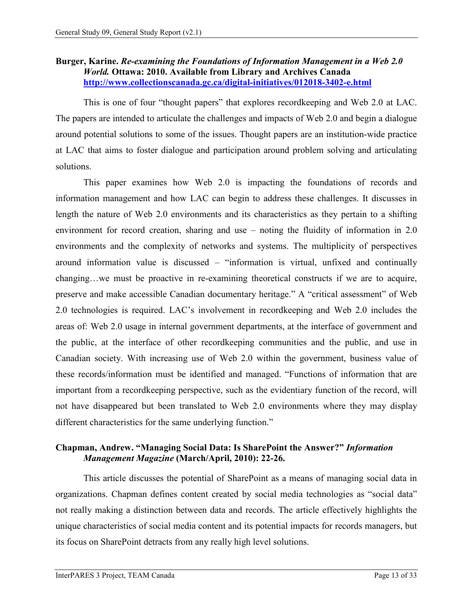# **Burger, Karine.** *Re-examining the Foundations of Information Management in a Web 2.0 World.* **Ottawa: 2010. Available from Library and Archives Canada <http://www.collectionscanada.gc.ca/digital-initiatives/012018-3402-e.html>**

This is one of four "thought papers" that explores recordkeeping and Web 2.0 at LAC. The papers are intended to articulate the challenges and impacts of Web 2.0 and begin a dialogue around potential solutions to some of the issues. Thought papers are an institution-wide practice at LAC that aims to foster dialogue and participation around problem solving and articulating solutions.

This paper examines how Web 2.0 is impacting the foundations of records and information management and how LAC can begin to address these challenges. It discusses in length the nature of Web 2.0 environments and its characteristics as they pertain to a shifting environment for record creation, sharing and use – noting the fluidity of information in 2.0 environments and the complexity of networks and systems. The multiplicity of perspectives around information value is discussed – "information is virtual, unfixed and continually changing…we must be proactive in re-examining theoretical constructs if we are to acquire, preserve and make accessible Canadian documentary heritage." A "critical assessment" of Web 2.0 technologies is required. LAC's involvement in recordkeeping and Web 2.0 includes the areas of: Web 2.0 usage in internal government departments, at the interface of government and the public, at the interface of other recordkeeping communities and the public, and use in Canadian society. With increasing use of Web 2.0 within the government, business value of these records/information must be identified and managed. "Functions of information that are important from a recordkeeping perspective, such as the evidentiary function of the record, will not have disappeared but been translated to Web 2.0 environments where they may display different characteristics for the same underlying function."

# **Chapman, Andrew. "Managing Social Data: Is SharePoint the Answer?"** *Information Management Magazine* **(March/April, 2010): 22-26.**

This article discusses the potential of SharePoint as a means of managing social data in organizations. Chapman defines content created by social media technologies as "social data" not really making a distinction between data and records. The article effectively highlights the unique characteristics of social media content and its potential impacts for records managers, but its focus on SharePoint detracts from any really high level solutions.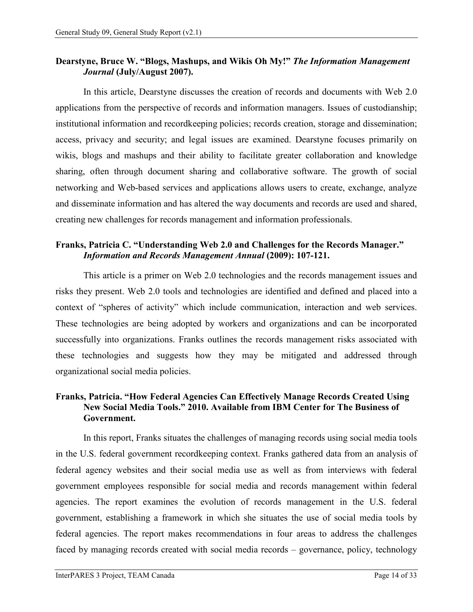#### **Dearstyne, Bruce W. "Blogs, Mashups, and Wikis Oh My!"** *The Information Management Journal* **(July/August 2007).**

In this article, Dearstyne discusses the creation of records and documents with Web 2.0 applications from the perspective of records and information managers. Issues of custodianship; institutional information and recordkeeping policies; records creation, storage and dissemination; access, privacy and security; and legal issues are examined. Dearstyne focuses primarily on wikis, blogs and mashups and their ability to facilitate greater collaboration and knowledge sharing, often through document sharing and collaborative software. The growth of social networking and Web-based services and applications allows users to create, exchange, analyze and disseminate information and has altered the way documents and records are used and shared, creating new challenges for records management and information professionals.

#### **Franks, Patricia C. "Understanding Web 2.0 and Challenges for the Records Manager."**  *Information and Records Management Annual* **(2009): 107-121.**

This article is a primer on Web 2.0 technologies and the records management issues and risks they present. Web 2.0 tools and technologies are identified and defined and placed into a context of "spheres of activity" which include communication, interaction and web services. These technologies are being adopted by workers and organizations and can be incorporated successfully into organizations. Franks outlines the records management risks associated with these technologies and suggests how they may be mitigated and addressed through organizational social media policies.

# **Franks, Patricia. "How Federal Agencies Can Effectively Manage Records Created Using New Social Media Tools." 2010. Available from IBM Center for The Business of Government.**

In this report, Franks situates the challenges of managing records using social media tools in the U.S. federal government recordkeeping context. Franks gathered data from an analysis of federal agency websites and their social media use as well as from interviews with federal government employees responsible for social media and records management within federal agencies. The report examines the evolution of records management in the U.S. federal government, establishing a framework in which she situates the use of social media tools by federal agencies. The report makes recommendations in four areas to address the challenges faced by managing records created with social media records – governance, policy, technology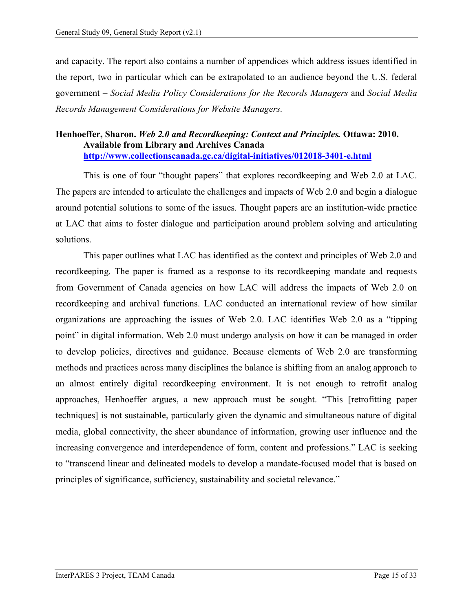and capacity. The report also contains a number of appendices which address issues identified in the report, two in particular which can be extrapolated to an audience beyond the U.S. federal government – *Social Media Policy Considerations for the Records Managers* and *Social Media Records Management Considerations for Website Managers.*

#### **Henhoeffer, Sharon.** *Web 2.0 and Recordkeeping: Context and Principles.* **Ottawa: 2010. Available from Library and Archives Canada <http://www.collectionscanada.gc.ca/digital-initiatives/012018-3401-e.html>**

This is one of four "thought papers" that explores recordkeeping and Web 2.0 at LAC. The papers are intended to articulate the challenges and impacts of Web 2.0 and begin a dialogue around potential solutions to some of the issues. Thought papers are an institution-wide practice at LAC that aims to foster dialogue and participation around problem solving and articulating solutions.

This paper outlines what LAC has identified as the context and principles of Web 2.0 and recordkeeping. The paper is framed as a response to its recordkeeping mandate and requests from Government of Canada agencies on how LAC will address the impacts of Web 2.0 on recordkeeping and archival functions. LAC conducted an international review of how similar organizations are approaching the issues of Web 2.0. LAC identifies Web 2.0 as a "tipping point" in digital information. Web 2.0 must undergo analysis on how it can be managed in order to develop policies, directives and guidance. Because elements of Web 2.0 are transforming methods and practices across many disciplines the balance is shifting from an analog approach to an almost entirely digital recordkeeping environment. It is not enough to retrofit analog approaches, Henhoeffer argues, a new approach must be sought. "This [retrofitting paper techniques] is not sustainable, particularly given the dynamic and simultaneous nature of digital media, global connectivity, the sheer abundance of information, growing user influence and the increasing convergence and interdependence of form, content and professions." LAC is seeking to "transcend linear and delineated models to develop a mandate-focused model that is based on principles of significance, sufficiency, sustainability and societal relevance."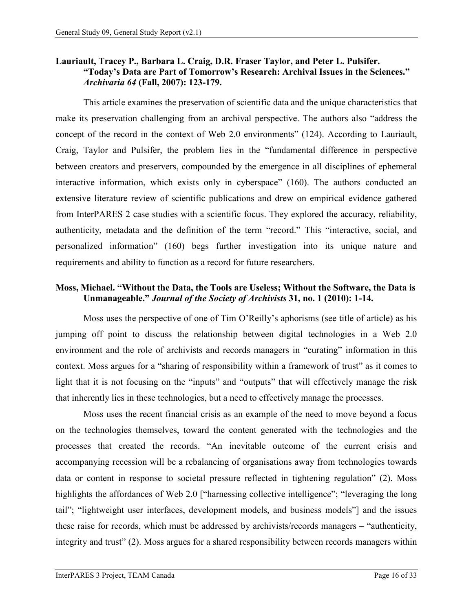#### **Lauriault, Tracey P., Barbara L. Craig, D.R. Fraser Taylor, and Peter L. Pulsifer. "Today's Data are Part of Tomorrow's Research: Archival Issues in the Sciences."**  *Archivaria 64* **(Fall, 2007): 123-179.**

This article examines the preservation of scientific data and the unique characteristics that make its preservation challenging from an archival perspective. The authors also "address the concept of the record in the context of Web 2.0 environments" (124). According to Lauriault, Craig, Taylor and Pulsifer, the problem lies in the "fundamental difference in perspective between creators and preservers, compounded by the emergence in all disciplines of ephemeral interactive information, which exists only in cyberspace" (160). The authors conducted an extensive literature review of scientific publications and drew on empirical evidence gathered from InterPARES 2 case studies with a scientific focus. They explored the accuracy, reliability, authenticity, metadata and the definition of the term "record." This "interactive, social, and personalized information" (160) begs further investigation into its unique nature and requirements and ability to function as a record for future researchers.

# **Moss, Michael. "Without the Data, the Tools are Useless; Without the Software, the Data is Unmanageable."** *Journal of the Society of Archivists* **31, no. 1 (2010): 1-14.**

Moss uses the perspective of one of Tim O'Reilly's aphorisms (see title of article) as his jumping off point to discuss the relationship between digital technologies in a Web 2.0 environment and the role of archivists and records managers in "curating" information in this context. Moss argues for a "sharing of responsibility within a framework of trust" as it comes to light that it is not focusing on the "inputs" and "outputs" that will effectively manage the risk that inherently lies in these technologies, but a need to effectively manage the processes.

Moss uses the recent financial crisis as an example of the need to move beyond a focus on the technologies themselves, toward the content generated with the technologies and the processes that created the records. "An inevitable outcome of the current crisis and accompanying recession will be a rebalancing of organisations away from technologies towards data or content in response to societal pressure reflected in tightening regulation" (2). Moss highlights the affordances of Web 2.0 ["harnessing collective intelligence"; "leveraging the long tail"; "lightweight user interfaces, development models, and business models"] and the issues these raise for records, which must be addressed by archivists/records managers – "authenticity, integrity and trust" (2). Moss argues for a shared responsibility between records managers within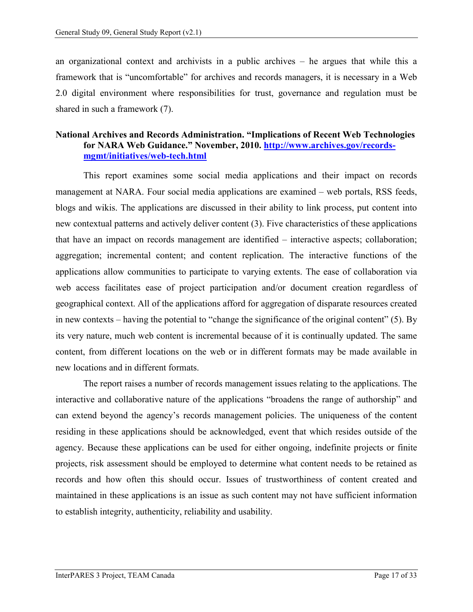an organizational context and archivists in a public archives – he argues that while this a framework that is "uncomfortable" for archives and records managers, it is necessary in a Web 2.0 digital environment where responsibilities for trust, governance and regulation must be shared in such a framework (7).

#### **National Archives and Records Administration. "Implications of Recent Web Technologies for NARA Web Guidance." November, 2010. [http://www.archives.gov/records](http://www.archives.gov/records-mgmt/initiatives/web-tech.html)[mgmt/initiatives/web-tech.html](http://www.archives.gov/records-mgmt/initiatives/web-tech.html)**

This report examines some social media applications and their impact on records management at NARA. Four social media applications are examined – web portals, RSS feeds, blogs and wikis. The applications are discussed in their ability to link process, put content into new contextual patterns and actively deliver content (3). Five characteristics of these applications that have an impact on records management are identified – interactive aspects; collaboration; aggregation; incremental content; and content replication. The interactive functions of the applications allow communities to participate to varying extents. The ease of collaboration via web access facilitates ease of project participation and/or document creation regardless of geographical context. All of the applications afford for aggregation of disparate resources created in new contexts – having the potential to "change the significance of the original content" (5). By its very nature, much web content is incremental because of it is continually updated. The same content, from different locations on the web or in different formats may be made available in new locations and in different formats.

The report raises a number of records management issues relating to the applications. The interactive and collaborative nature of the applications "broadens the range of authorship" and can extend beyond the agency's records management policies. The uniqueness of the content residing in these applications should be acknowledged, event that which resides outside of the agency. Because these applications can be used for either ongoing, indefinite projects or finite projects, risk assessment should be employed to determine what content needs to be retained as records and how often this should occur. Issues of trustworthiness of content created and maintained in these applications is an issue as such content may not have sufficient information to establish integrity, authenticity, reliability and usability.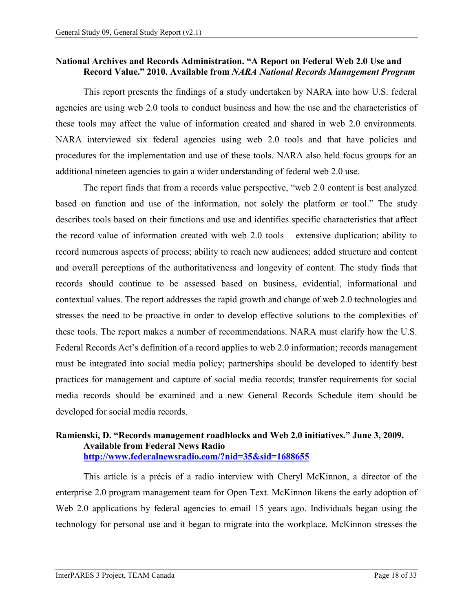#### **National Archives and Records Administration. "A Report on Federal Web 2.0 Use and Record Value." 2010. Available from** *NARA National Records Management Program*

This report presents the findings of a study undertaken by NARA into how U.S. federal agencies are using web 2.0 tools to conduct business and how the use and the characteristics of these tools may affect the value of information created and shared in web 2.0 environments. NARA interviewed six federal agencies using web 2.0 tools and that have policies and procedures for the implementation and use of these tools. NARA also held focus groups for an additional nineteen agencies to gain a wider understanding of federal web 2.0 use.

The report finds that from a records value perspective, "web 2.0 content is best analyzed based on function and use of the information, not solely the platform or tool." The study describes tools based on their functions and use and identifies specific characteristics that affect the record value of information created with web 2.0 tools – extensive duplication; ability to record numerous aspects of process; ability to reach new audiences; added structure and content and overall perceptions of the authoritativeness and longevity of content. The study finds that records should continue to be assessed based on business, evidential, informational and contextual values. The report addresses the rapid growth and change of web 2.0 technologies and stresses the need to be proactive in order to develop effective solutions to the complexities of these tools. The report makes a number of recommendations. NARA must clarify how the U.S. Federal Records Act's definition of a record applies to web 2.0 information; records management must be integrated into social media policy; partnerships should be developed to identify best practices for management and capture of social media records; transfer requirements for social media records should be examined and a new General Records Schedule item should be developed for social media records.

#### **Ramienski, D. "Records management roadblocks and Web 2.0 initiatives." June 3, 2009. Available from Federal News Radio <http://www.federalnewsradio.com/?nid=35&sid=1688655>**

This article is a précis of a radio interview with Cheryl McKinnon, a director of the enterprise 2.0 program management team for Open Text. McKinnon likens the early adoption of Web 2.0 applications by federal agencies to email 15 years ago. Individuals began using the technology for personal use and it began to migrate into the workplace. McKinnon stresses the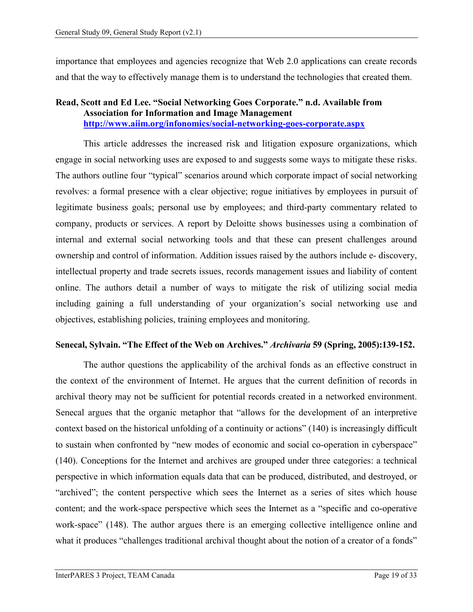importance that employees and agencies recognize that Web 2.0 applications can create records and that the way to effectively manage them is to understand the technologies that created them.

#### **Read, Scott and Ed Lee. "Social Networking Goes Corporate." n.d. Available from Association for Information and Image Management <http://www.aiim.org/infonomics/social-networking-goes-corporate.aspx>**

This article addresses the increased risk and litigation exposure organizations, which engage in social networking uses are exposed to and suggests some ways to mitigate these risks. The authors outline four "typical" scenarios around which corporate impact of social networking revolves: a formal presence with a clear objective; rogue initiatives by employees in pursuit of legitimate business goals; personal use by employees; and third-party commentary related to company, products or services. A report by Deloitte shows businesses using a combination of internal and external social networking tools and that these can present challenges around ownership and control of information. Addition issues raised by the authors include e- discovery, intellectual property and trade secrets issues, records management issues and liability of content online. The authors detail a number of ways to mitigate the risk of utilizing social media including gaining a full understanding of your organization's social networking use and objectives, establishing policies, training employees and monitoring.

#### **Senecal, Sylvain. "The Effect of the Web on Archives."** *Archivaria* **59 (Spring, 2005):139-152.**

The author questions the applicability of the archival fonds as an effective construct in the context of the environment of Internet. He argues that the current definition of records in archival theory may not be sufficient for potential records created in a networked environment. Senecal argues that the organic metaphor that "allows for the development of an interpretive context based on the historical unfolding of a continuity or actions" (140) is increasingly difficult to sustain when confronted by "new modes of economic and social co-operation in cyberspace" (140). Conceptions for the Internet and archives are grouped under three categories: a technical perspective in which information equals data that can be produced, distributed, and destroyed, or "archived"; the content perspective which sees the Internet as a series of sites which house content; and the work-space perspective which sees the Internet as a "specific and co-operative work-space" (148). The author argues there is an emerging collective intelligence online and what it produces "challenges traditional archival thought about the notion of a creator of a fonds"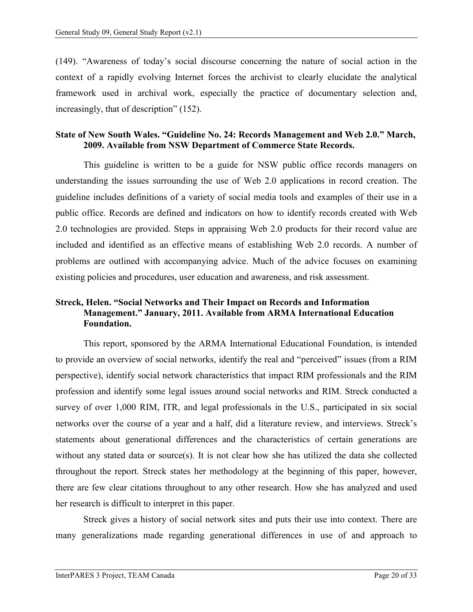(149). "Awareness of today's social discourse concerning the nature of social action in the context of a rapidly evolving Internet forces the archivist to clearly elucidate the analytical framework used in archival work, especially the practice of documentary selection and, increasingly, that of description" (152).

#### **State of New South Wales. "Guideline No. 24: Records Management and Web 2.0." March, 2009. Available from NSW Department of Commerce State Records.**

This guideline is written to be a guide for NSW public office records managers on understanding the issues surrounding the use of Web 2.0 applications in record creation. The guideline includes definitions of a variety of social media tools and examples of their use in a public office. Records are defined and indicators on how to identify records created with Web 2.0 technologies are provided. Steps in appraising Web 2.0 products for their record value are included and identified as an effective means of establishing Web 2.0 records. A number of problems are outlined with accompanying advice. Much of the advice focuses on examining existing policies and procedures, user education and awareness, and risk assessment.

# **Streck, Helen. "Social Networks and Their Impact on Records and Information Management." January, 2011. Available from ARMA International Education Foundation.**

This report, sponsored by the ARMA International Educational Foundation, is intended to provide an overview of social networks, identify the real and "perceived" issues (from a RIM perspective), identify social network characteristics that impact RIM professionals and the RIM profession and identify some legal issues around social networks and RIM. Streck conducted a survey of over 1,000 RIM, ITR, and legal professionals in the U.S., participated in six social networks over the course of a year and a half, did a literature review, and interviews. Streck's statements about generational differences and the characteristics of certain generations are without any stated data or source(s). It is not clear how she has utilized the data she collected throughout the report. Streck states her methodology at the beginning of this paper, however, there are few clear citations throughout to any other research. How she has analyzed and used her research is difficult to interpret in this paper.

Streck gives a history of social network sites and puts their use into context. There are many generalizations made regarding generational differences in use of and approach to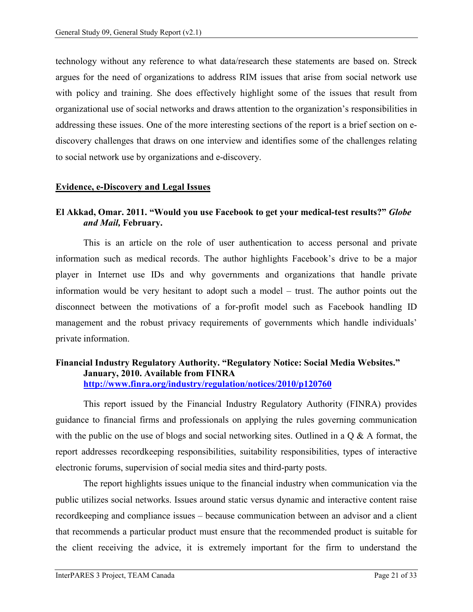technology without any reference to what data/research these statements are based on. Streck argues for the need of organizations to address RIM issues that arise from social network use with policy and training. She does effectively highlight some of the issues that result from organizational use of social networks and draws attention to the organization's responsibilities in addressing these issues. One of the more interesting sections of the report is a brief section on ediscovery challenges that draws on one interview and identifies some of the challenges relating to social network use by organizations and e-discovery.

#### <span id="page-23-0"></span>**Evidence, e-Discovery and Legal Issues**

# **El Akkad, Omar. 2011. "Would you use Facebook to get your medical-test results?"** *Globe and Mail,* **February.**

This is an article on the role of user authentication to access personal and private information such as medical records. The author highlights Facebook's drive to be a major player in Internet use IDs and why governments and organizations that handle private information would be very hesitant to adopt such a model – trust. The author points out the disconnect between the motivations of a for-profit model such as Facebook handling ID management and the robust privacy requirements of governments which handle individuals' private information.

#### **Financial Industry Regulatory Authority. "Regulatory Notice: Social Media Websites." January, 2010. Available from FINRA <http://www.finra.org/industry/regulation/notices/2010/p120760>**

This report issued by the Financial Industry Regulatory Authority (FINRA) provides guidance to financial firms and professionals on applying the rules governing communication with the public on the use of blogs and social networking sites. Outlined in a Q & A format, the report addresses recordkeeping responsibilities, suitability responsibilities, types of interactive electronic forums, supervision of social media sites and third-party posts.

The report highlights issues unique to the financial industry when communication via the public utilizes social networks. Issues around static versus dynamic and interactive content raise recordkeeping and compliance issues – because communication between an advisor and a client that recommends a particular product must ensure that the recommended product is suitable for the client receiving the advice, it is extremely important for the firm to understand the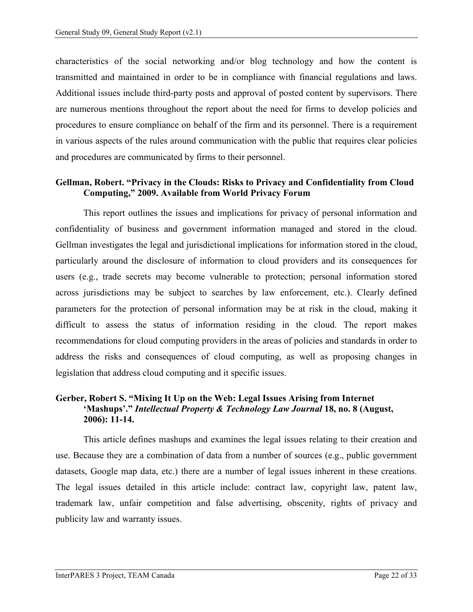characteristics of the social networking and/or blog technology and how the content is transmitted and maintained in order to be in compliance with financial regulations and laws. Additional issues include third-party posts and approval of posted content by supervisors. There are numerous mentions throughout the report about the need for firms to develop policies and procedures to ensure compliance on behalf of the firm and its personnel. There is a requirement in various aspects of the rules around communication with the public that requires clear policies and procedures are communicated by firms to their personnel.

#### **Gellman, Robert. "Privacy in the Clouds: Risks to Privacy and Confidentiality from Cloud Computing," 2009. Available from World Privacy Forum**

This report outlines the issues and implications for privacy of personal information and confidentiality of business and government information managed and stored in the cloud. Gellman investigates the legal and jurisdictional implications for information stored in the cloud, particularly around the disclosure of information to cloud providers and its consequences for users (e.g., trade secrets may become vulnerable to protection; personal information stored across jurisdictions may be subject to searches by law enforcement, etc.). Clearly defined parameters for the protection of personal information may be at risk in the cloud, making it difficult to assess the status of information residing in the cloud. The report makes recommendations for cloud computing providers in the areas of policies and standards in order to address the risks and consequences of cloud computing, as well as proposing changes in legislation that address cloud computing and it specific issues.

# **Gerber, Robert S. "Mixing It Up on the Web: Legal Issues Arising from Internet 'Mashups'."** *Intellectual Property & Technology Law Journal* **18, no. 8 (August, 2006): 11-14.**

This article defines mashups and examines the legal issues relating to their creation and use. Because they are a combination of data from a number of sources (e.g., public government datasets, Google map data, etc.) there are a number of legal issues inherent in these creations. The legal issues detailed in this article include: contract law, copyright law, patent law, trademark law, unfair competition and false advertising, obscenity, rights of privacy and publicity law and warranty issues.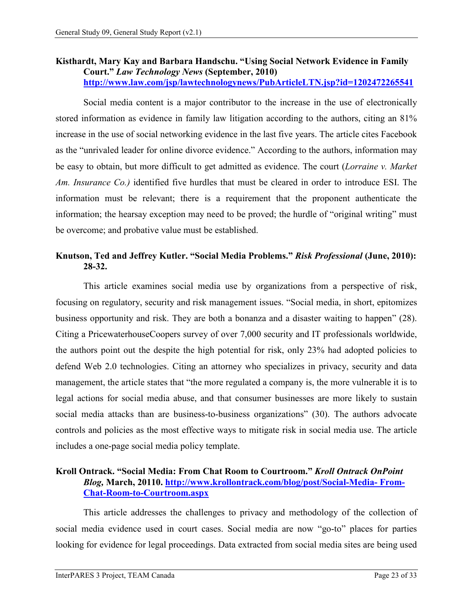#### **Kisthardt, Mary Kay and Barbara Handschu. "Using Social Network Evidence in Family Court."** *Law Technology News* **(September, 2010) <http://www.law.com/jsp/lawtechnologynews/PubArticleLTN.jsp?id=1202472265541>**

Social media content is a major contributor to the increase in the use of electronically stored information as evidence in family law litigation according to the authors, citing an 81% increase in the use of social networking evidence in the last five years. The article cites Facebook as the "unrivaled leader for online divorce evidence." According to the authors, information may be easy to obtain, but more difficult to get admitted as evidence. The court (*Lorraine v. Market Am. Insurance Co.)* identified five hurdles that must be cleared in order to introduce ESI. The information must be relevant; there is a requirement that the proponent authenticate the information; the hearsay exception may need to be proved; the hurdle of "original writing" must be overcome; and probative value must be established.

# **Knutson, Ted and Jeffrey Kutler. "Social Media Problems."** *Risk Professional* **(June, 2010): 28-32.**

This article examines social media use by organizations from a perspective of risk, focusing on regulatory, security and risk management issues. "Social media, in short, epitomizes business opportunity and risk. They are both a bonanza and a disaster waiting to happen" (28). Citing a PricewaterhouseCoopers survey of over 7,000 security and IT professionals worldwide, the authors point out the despite the high potential for risk, only 23% had adopted policies to defend Web 2.0 technologies. Citing an attorney who specializes in privacy, security and data management, the article states that "the more regulated a company is, the more vulnerable it is to legal actions for social media abuse, and that consumer businesses are more likely to sustain social media attacks than are business-to-business organizations" (30). The authors advocate controls and policies as the most effective ways to mitigate risk in social media use. The article includes a one-page social media policy template.

#### **Kroll Ontrack. "Social Media: From Chat Room to Courtroom."** *Kroll Ontrack OnPoint Blog,* **March, 20110. [http://www.krollontrack.com/blog/post/Social-Media-](http://www.krollontrack.com/blog/post/Social-Media-%20From-Chat-Room-to-Courtroom.aspx) From-[Chat-Room-to-Courtroom.aspx](http://www.krollontrack.com/blog/post/Social-Media-%20From-Chat-Room-to-Courtroom.aspx)**

This article addresses the challenges to privacy and methodology of the collection of social media evidence used in court cases. Social media are now "go-to" places for parties looking for evidence for legal proceedings. Data extracted from social media sites are being used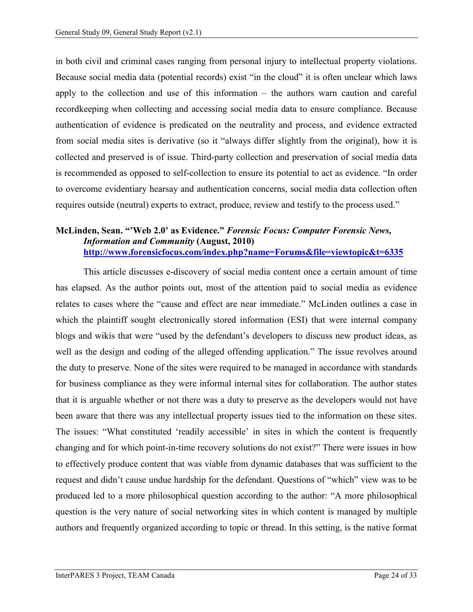in both civil and criminal cases ranging from personal injury to intellectual property violations. Because social media data (potential records) exist "in the cloud" it is often unclear which laws apply to the collection and use of this information – the authors warn caution and careful recordkeeping when collecting and accessing social media data to ensure compliance. Because authentication of evidence is predicated on the neutrality and process, and evidence extracted from social media sites is derivative (so it "always differ slightly from the original), how it is collected and preserved is of issue. Third-party collection and preservation of social media data is recommended as opposed to self-collection to ensure its potential to act as evidence. "In order to overcome evidentiary hearsay and authentication concerns, social media data collection often requires outside (neutral) experts to extract, produce, review and testify to the process used."

#### **McLinden, Sean. "'Web 2.0' as Evidence."** *Forensic Focus: Computer Forensic News, Information and Community* **(August, 2010) <http://www.forensicfocus.com/index.php?name=Forums&file=viewtopic&t=6335>**

This article discusses e-discovery of social media content once a certain amount of time has elapsed. As the author points out, most of the attention paid to social media as evidence relates to cases where the "cause and effect are near immediate." McLinden outlines a case in which the plaintiff sought electronically stored information (ESI) that were internal company blogs and wikis that were "used by the defendant's developers to discuss new product ideas, as well as the design and coding of the alleged offending application." The issue revolves around the duty to preserve. None of the sites were required to be managed in accordance with standards for business compliance as they were informal internal sites for collaboration. The author states that it is arguable whether or not there was a duty to preserve as the developers would not have been aware that there was any intellectual property issues tied to the information on these sites. The issues: "What constituted 'readily accessible' in sites in which the content is frequently changing and for which point-in-time recovery solutions do not exist?" There were issues in how to effectively produce content that was viable from dynamic databases that was sufficient to the request and didn't cause undue hardship for the defendant. Questions of "which" view was to be produced led to a more philosophical question according to the author: "A more philosophical question is the very nature of social networking sites in which content is managed by multiple authors and frequently organized according to topic or thread. In this setting, is the native format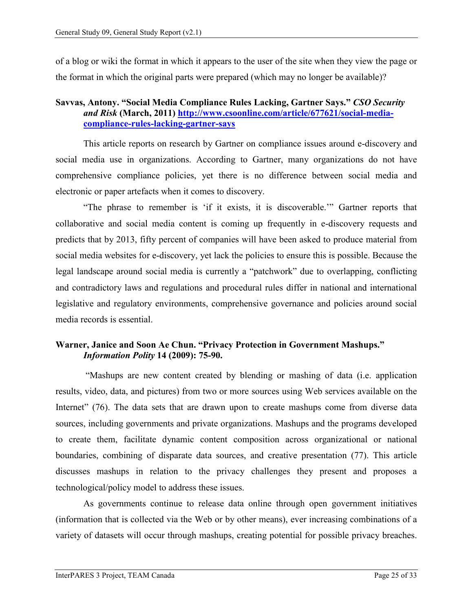of a blog or wiki the format in which it appears to the user of the site when they view the page or the format in which the original parts were prepared (which may no longer be available)?

#### **Savvas, Antony. "Social Media Compliance Rules Lacking, Gartner Says."** *CSO Security and Risk* **(March, 2011) [http://www.csoonline.com/article/677621/social-media](http://www.csoonline.com/article/677621/social-media-compliance-rules-lacking-gartner-says)[compliance-rules-lacking-gartner-says](http://www.csoonline.com/article/677621/social-media-compliance-rules-lacking-gartner-says)**

This article reports on research by Gartner on compliance issues around e-discovery and social media use in organizations. According to Gartner, many organizations do not have comprehensive compliance policies, yet there is no difference between social media and electronic or paper artefacts when it comes to discovery.

"The phrase to remember is 'if it exists, it is discoverable.'" Gartner reports that collaborative and social media content is coming up frequently in e-discovery requests and predicts that by 2013, fifty percent of companies will have been asked to produce material from social media websites for e-discovery, yet lack the policies to ensure this is possible. Because the legal landscape around social media is currently a "patchwork" due to overlapping, conflicting and contradictory laws and regulations and procedural rules differ in national and international legislative and regulatory environments, comprehensive governance and policies around social media records is essential.

# **Warner, Janice and Soon Ae Chun. "Privacy Protection in Government Mashups."**  *Information Polity* **14 (2009): 75-90.**

"Mashups are new content created by blending or mashing of data (i.e. application results, video, data, and pictures) from two or more sources using Web services available on the Internet" (76). The data sets that are drawn upon to create mashups come from diverse data sources, including governments and private organizations. Mashups and the programs developed to create them, facilitate dynamic content composition across organizational or national boundaries, combining of disparate data sources, and creative presentation (77). This article discusses mashups in relation to the privacy challenges they present and proposes a technological/policy model to address these issues.

As governments continue to release data online through open government initiatives (information that is collected via the Web or by other means), ever increasing combinations of a variety of datasets will occur through mashups, creating potential for possible privacy breaches.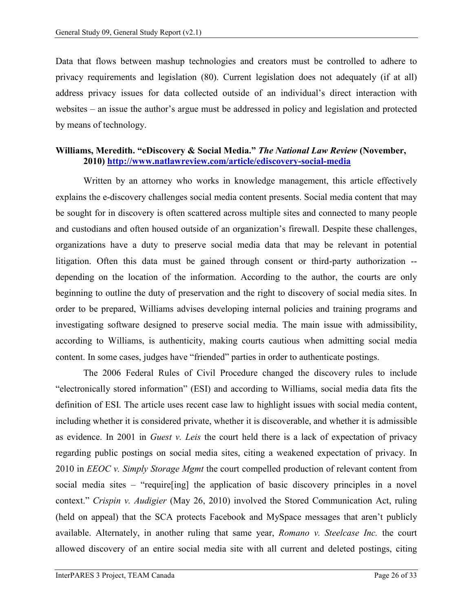Data that flows between mashup technologies and creators must be controlled to adhere to privacy requirements and legislation (80). Current legislation does not adequately (if at all) address privacy issues for data collected outside of an individual's direct interaction with websites – an issue the author's argue must be addressed in policy and legislation and protected by means of technology.

# **Williams, Meredith. "eDiscovery & Social Media."** *The National Law Review* **(November, 2010)<http://www.natlawreview.com/article/ediscovery-social-media>**

Written by an attorney who works in knowledge management, this article effectively explains the e-discovery challenges social media content presents. Social media content that may be sought for in discovery is often scattered across multiple sites and connected to many people and custodians and often housed outside of an organization's firewall. Despite these challenges, organizations have a duty to preserve social media data that may be relevant in potential litigation. Often this data must be gained through consent or third-party authorization - depending on the location of the information. According to the author, the courts are only beginning to outline the duty of preservation and the right to discovery of social media sites. In order to be prepared, Williams advises developing internal policies and training programs and investigating software designed to preserve social media. The main issue with admissibility, according to Williams, is authenticity, making courts cautious when admitting social media content. In some cases, judges have "friended" parties in order to authenticate postings.

The 2006 Federal Rules of Civil Procedure changed the discovery rules to include "electronically stored information" (ESI) and according to Williams, social media data fits the definition of ESI. The article uses recent case law to highlight issues with social media content, including whether it is considered private, whether it is discoverable, and whether it is admissible as evidence. In 2001 in *Guest v. Leis* the court held there is a lack of expectation of privacy regarding public postings on social media sites, citing a weakened expectation of privacy. In 2010 in *EEOC v. Simply Storage Mgmt* the court compelled production of relevant content from social media sites – "require[ing] the application of basic discovery principles in a novel context." *Crispin v. Audigier* (May 26, 2010) involved the Stored Communication Act, ruling (held on appeal) that the SCA protects Facebook and MySpace messages that aren't publicly available. Alternately, in another ruling that same year, *Romano v. Steelcase Inc.* the court allowed discovery of an entire social media site with all current and deleted postings, citing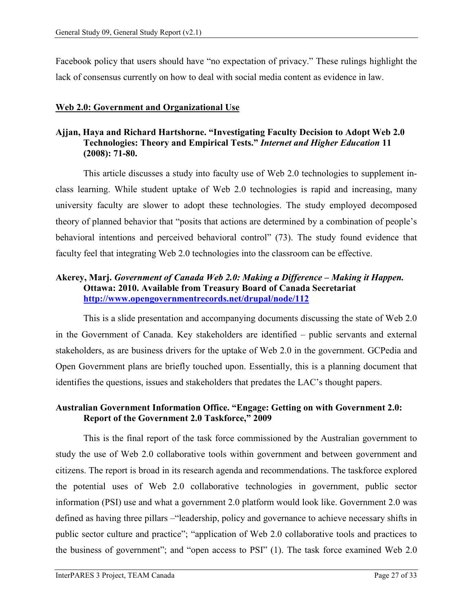Facebook policy that users should have "no expectation of privacy." These rulings highlight the lack of consensus currently on how to deal with social media content as evidence in law.

#### <span id="page-29-0"></span>**Web 2.0: Government and Organizational Use**

#### **Ajjan, Haya and Richard Hartshorne. "Investigating Faculty Decision to Adopt Web 2.0 Technologies: Theory and Empirical Tests."** *Internet and Higher Education* **11 (2008): 71-80.**

This article discusses a study into faculty use of Web 2.0 technologies to supplement inclass learning. While student uptake of Web 2.0 technologies is rapid and increasing, many university faculty are slower to adopt these technologies. The study employed decomposed theory of planned behavior that "posits that actions are determined by a combination of people's behavioral intentions and perceived behavioral control" (73). The study found evidence that faculty feel that integrating Web 2.0 technologies into the classroom can be effective.

#### **Akerey, Marj.** *Government of Canada Web 2.0: Making a Difference – Making it Happen.*  **Ottawa: 2010. Available from Treasury Board of Canada Secretariat <http://www.opengovernmentrecords.net/drupal/node/112>**

This is a slide presentation and accompanying documents discussing the state of Web 2.0 in the Government of Canada. Key stakeholders are identified – public servants and external stakeholders, as are business drivers for the uptake of Web 2.0 in the government. GCPedia and Open Government plans are briefly touched upon. Essentially, this is a planning document that identifies the questions, issues and stakeholders that predates the LAC's thought papers.

# **Australian Government Information Office. "Engage: Getting on with Government 2.0: Report of the Government 2.0 Taskforce," 2009**

This is the final report of the task force commissioned by the Australian government to study the use of Web 2.0 collaborative tools within government and between government and citizens. The report is broad in its research agenda and recommendations. The taskforce explored the potential uses of Web 2.0 collaborative technologies in government, public sector information (PSI) use and what a government 2.0 platform would look like. Government 2.0 was defined as having three pillars –"leadership, policy and governance to achieve necessary shifts in public sector culture and practice"; "application of Web 2.0 collaborative tools and practices to the business of government"; and "open access to PSI" (1). The task force examined Web 2.0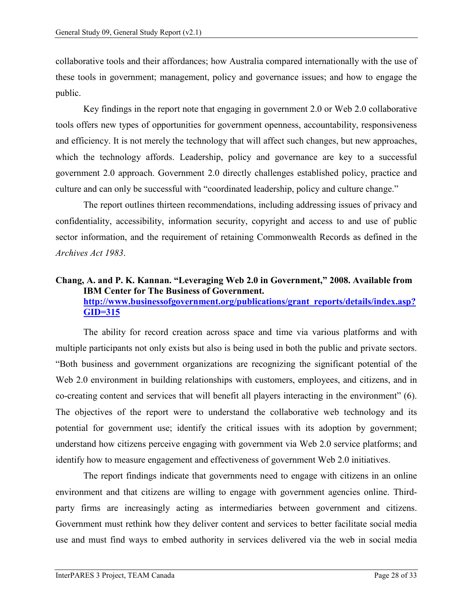collaborative tools and their affordances; how Australia compared internationally with the use of these tools in government; management, policy and governance issues; and how to engage the public.

Key findings in the report note that engaging in government 2.0 or Web 2.0 collaborative tools offers new types of opportunities for government openness, accountability, responsiveness and efficiency. It is not merely the technology that will affect such changes, but new approaches, which the technology affords. Leadership, policy and governance are key to a successful government 2.0 approach. Government 2.0 directly challenges established policy, practice and culture and can only be successful with "coordinated leadership, policy and culture change."

The report outlines thirteen recommendations, including addressing issues of privacy and confidentiality, accessibility, information security, copyright and access to and use of public sector information, and the requirement of retaining Commonwealth Records as defined in the *Archives Act 1983*.

#### **Chang, A. and P. K. Kannan. "Leveraging Web 2.0 in Government," 2008. Available from IBM Center for The Business of Government. http://www.businessofgovernment.org/publications/grant\_reports/details/i[ndex.asp?](http://www.businessofgovernment.org/publications/grant_reports/details/index.asp?GID=315) [GID=315](http://www.businessofgovernment.org/publications/grant_reports/details/index.asp?GID=315)**

The ability for record creation across space and time via various platforms and with multiple participants not only exists but also is being used in both the public and private sectors. "Both business and government organizations are recognizing the significant potential of the Web 2.0 environment in building relationships with customers, employees, and citizens, and in co-creating content and services that will benefit all players interacting in the environment" (6). The objectives of the report were to understand the collaborative web technology and its potential for government use; identify the critical issues with its adoption by government; understand how citizens perceive engaging with government via Web 2.0 service platforms; and identify how to measure engagement and effectiveness of government Web 2.0 initiatives.

The report findings indicate that governments need to engage with citizens in an online environment and that citizens are willing to engage with government agencies online. Thirdparty firms are increasingly acting as intermediaries between government and citizens. Government must rethink how they deliver content and services to better facilitate social media use and must find ways to embed authority in services delivered via the web in social media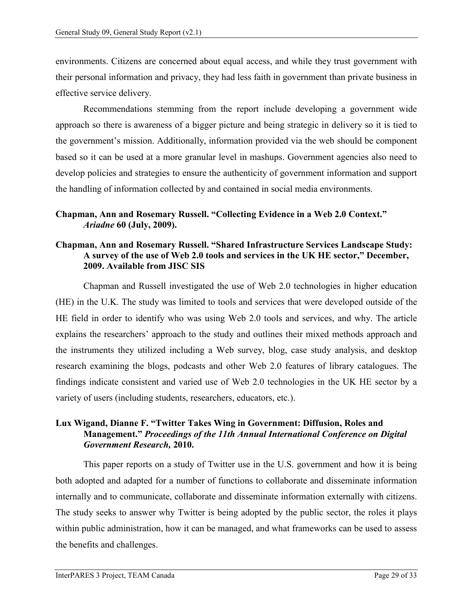environments. Citizens are concerned about equal access, and while they trust government with their personal information and privacy, they had less faith in government than private business in effective service delivery.

Recommendations stemming from the report include developing a government wide approach so there is awareness of a bigger picture and being strategic in delivery so it is tied to the government's mission. Additionally, information provided via the web should be component based so it can be used at a more granular level in mashups. Government agencies also need to develop policies and strategies to ensure the authenticity of government information and support the handling of information collected by and contained in social media environments.

#### **Chapman, Ann and Rosemary Russell. "Collecting Evidence in a Web 2.0 Context."**  *Ariadne* **60 (July, 2009).**

#### **Chapman, Ann and Rosemary Russell. "Shared Infrastructure Services Landscape Study: A survey of the use of Web 2.0 tools and services in the UK HE sector," December, 2009. Available from JISC SIS**

Chapman and Russell investigated the use of Web 2.0 technologies in higher education (HE) in the U.K. The study was limited to tools and services that were developed outside of the HE field in order to identify who was using Web 2.0 tools and services, and why. The article explains the researchers' approach to the study and outlines their mixed methods approach and the instruments they utilized including a Web survey, blog, case study analysis, and desktop research examining the blogs, podcasts and other Web 2.0 features of library catalogues. The findings indicate consistent and varied use of Web 2.0 technologies in the UK HE sector by a variety of users (including students, researchers, educators, etc.).

# **Lux Wigand, Dianne F. "Twitter Takes Wing in Government: Diffusion, Roles and Management."** *Proceedings of the 11th Annual International Conference on Digital Government Research,* **2010.**

This paper reports on a study of Twitter use in the U.S. government and how it is being both adopted and adapted for a number of functions to collaborate and disseminate information internally and to communicate, collaborate and disseminate information externally with citizens. The study seeks to answer why Twitter is being adopted by the public sector, the roles it plays within public administration, how it can be managed, and what frameworks can be used to assess the benefits and challenges.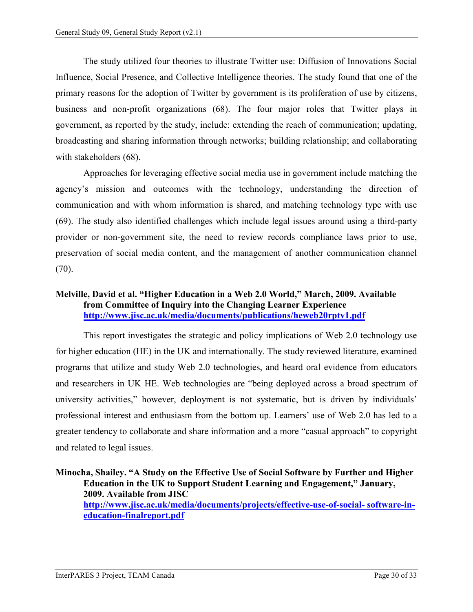The study utilized four theories to illustrate Twitter use: Diffusion of Innovations Social Influence, Social Presence, and Collective Intelligence theories. The study found that one of the primary reasons for the adoption of Twitter by government is its proliferation of use by citizens, business and non-profit organizations (68). The four major roles that Twitter plays in government, as reported by the study, include: extending the reach of communication; updating, broadcasting and sharing information through networks; building relationship; and collaborating with stakeholders (68).

Approaches for leveraging effective social media use in government include matching the agency's mission and outcomes with the technology, understanding the direction of communication and with whom information is shared, and matching technology type with use (69). The study also identified challenges which include legal issues around using a third-party provider or non-government site, the need to review records compliance laws prior to use, preservation of social media content, and the management of another communication channel (70).

# **Melville, David et al. "Higher Education in a Web 2.0 World," March, 2009. Available from Committee of Inquiry into the Changing Learner Experience <http://www.jisc.ac.uk/media/documents/publications/heweb20rptv1.pdf>**

This report investigates the strategic and policy implications of Web 2.0 technology use for higher education (HE) in the UK and internationally. The study reviewed literature, examined programs that utilize and study Web 2.0 technologies, and heard oral evidence from educators and researchers in UK HE. Web technologies are "being deployed across a broad spectrum of university activities," however, deployment is not systematic, but is driven by individuals' professional interest and enthusiasm from the bottom up. Learners' use of Web 2.0 has led to a greater tendency to collaborate and share information and a more "casual approach" to copyright and related to legal issues.

**Minocha, Shailey. "A Study on the Effective Use of Social Software by Further and Higher Education in the UK to Support Student Learning and Engagement," January, 2009. Available from JISC [http://www.jisc.ac.uk/media/documents/projects/effective-use-of-social-](http://www.jisc.ac.uk/media/documents/projects/effective-use-of-social-%20software-in-education-finalreport.pdf) software-in[education-finalreport.pdf](http://www.jisc.ac.uk/media/documents/projects/effective-use-of-social-%20software-in-education-finalreport.pdf)**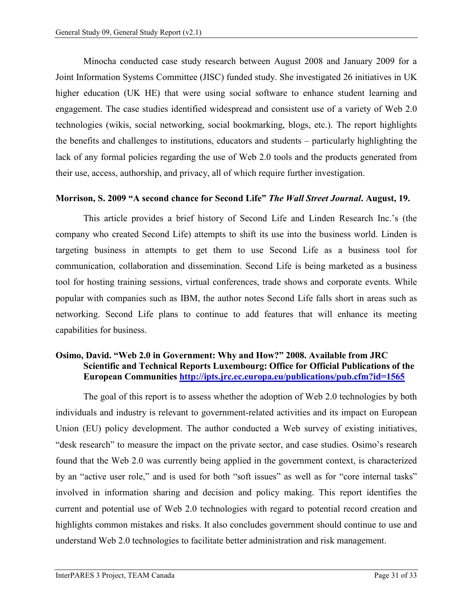Minocha conducted case study research between August 2008 and January 2009 for a Joint Information Systems Committee (JISC) funded study. She investigated 26 initiatives in UK higher education (UK HE) that were using social software to enhance student learning and engagement. The case studies identified widespread and consistent use of a variety of Web 2.0 technologies (wikis, social networking, social bookmarking, blogs, etc.). The report highlights the benefits and challenges to institutions, educators and students – particularly highlighting the lack of any formal policies regarding the use of Web 2.0 tools and the products generated from their use, access, authorship, and privacy, all of which require further investigation.

#### **Morrison, S. 2009 "A second chance for Second Life"** *The Wall Street Journal***. August, 19.**

This article provides a brief history of Second Life and Linden Research Inc.'s (the company who created Second Life) attempts to shift its use into the business world. Linden is targeting business in attempts to get them to use Second Life as a business tool for communication, collaboration and dissemination. Second Life is being marketed as a business tool for hosting training sessions, virtual conferences, trade shows and corporate events. While popular with companies such as IBM, the author notes Second Life falls short in areas such as networking. Second Life plans to continue to add features that will enhance its meeting capabilities for business.

#### **Osimo, David. "Web 2.0 in Government: Why and How?" 2008. Available from JRC Scientific and Technical Reports Luxembourg: Office for Official Publications of the European Communities<http://ipts.jrc.ec.europa.eu/publications/pub.cfm?id=1565>**

The goal of this report is to assess whether the adoption of Web 2.0 technologies by both individuals and industry is relevant to government-related activities and its impact on European Union (EU) policy development. The author conducted a Web survey of existing initiatives, "desk research" to measure the impact on the private sector, and case studies. Osimo's research found that the Web 2.0 was currently being applied in the government context, is characterized by an "active user role," and is used for both "soft issues" as well as for "core internal tasks" involved in information sharing and decision and policy making. This report identifies the current and potential use of Web 2.0 technologies with regard to potential record creation and highlights common mistakes and risks. It also concludes government should continue to use and understand Web 2.0 technologies to facilitate better administration and risk management.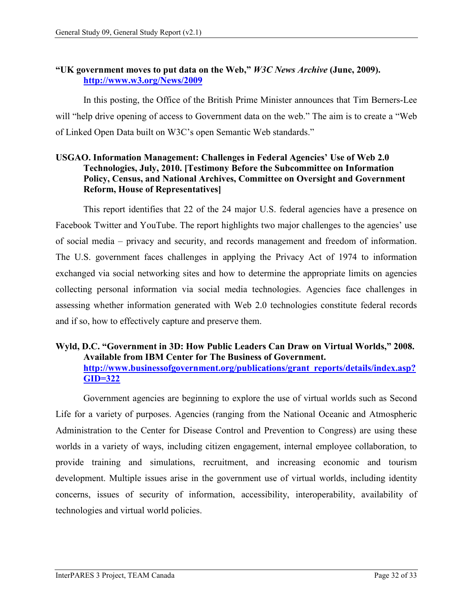#### **"UK government moves to put data on the Web,"** *W3C News Archive* **(June, 2009). <http://www.w3.org/News/2009>**

In this posting, the Office of the British Prime Minister announces that Tim Berners-Lee will "help drive opening of access to Government data on the web." The aim is to create a "Web of Linked Open Data built on W3C's open Semantic Web standards."

#### **USGAO. Information Management: Challenges in Federal Agencies' Use of Web 2.0 Technologies, July, 2010. [Testimony Before the Subcommittee on Information Policy, Census, and National Archives, Committee on Oversight and Government Reform, House of Representatives]**

This report identifies that 22 of the 24 major U.S. federal agencies have a presence on Facebook Twitter and YouTube. The report highlights two major challenges to the agencies' use of social media – privacy and security, and records management and freedom of information. The U.S. government faces challenges in applying the Privacy Act of 1974 to information exchanged via social networking sites and how to determine the appropriate limits on agencies collecting personal information via social media technologies. Agencies face challenges in assessing whether information generated with Web 2.0 technologies constitute federal records and if so, how to effectively capture and preserve them.

#### **Wyld, D.C. "Government in 3D: How Public Leaders Can Draw on Virtual Worlds," 2008. Available from IBM Center for The Business of Government. http://www.businessofgovernment.org/publications/grant\_reports/details/i[ndex.asp?](http://www.businessofgovernment.org/publications/grant_reports/details/index.asp?GID=322) [GID=322](http://www.businessofgovernment.org/publications/grant_reports/details/index.asp?GID=322)**

Government agencies are beginning to explore the use of virtual worlds such as Second Life for a variety of purposes. Agencies (ranging from the National Oceanic and Atmospheric Administration to the Center for Disease Control and Prevention to Congress) are using these worlds in a variety of ways, including citizen engagement, internal employee collaboration, to provide training and simulations, recruitment, and increasing economic and tourism development. Multiple issues arise in the government use of virtual worlds, including identity concerns, issues of security of information, accessibility, interoperability, availability of technologies and virtual world policies.